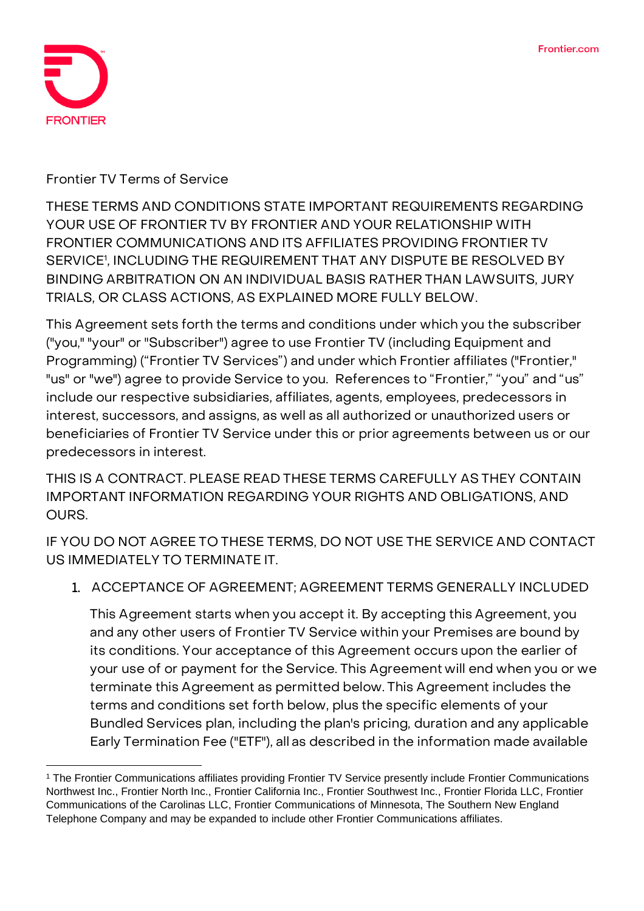

**Frontier TV Terms of Service**

**THESE TERMS AND CONDITIONS STATE IMPORTANT REQUIREMENTS REGARDING YOUR USE OF FRONTIER TV BY FRONTIER AND YOUR RELATIONSHIP WITH FRONTIER COMMUNICATIONS AND ITS AFFILIATES PROVIDING FRONTIER TV SERVICE**<sup>1</sup> **, INCLUDING THE REQUIREMENT THAT ANY DISPUTE BE RESOLVED BY BINDING ARBITRATION ON AN INDIVIDUAL BASIS RATHER THAN LAWSUITS, JURY TRIALS, OR CLASS ACTIONS, AS EXPLAINED MORE FULLY BELOW.**

This Agreement sets forth the terms and conditions under which you the subscriber ("you," "your" or "Subscriber") agree to use Frontier TV (including Equipment and Programming) ("Frontier TV Services") and under which Frontier affiliates ("Frontier," "us" or "we") agree to provide Service to you. References to "Frontier," "you" and "us" include our respective subsidiaries, affiliates, agents, employees, predecessors in interest, successors, and assigns, as well as all authorized or unauthorized users or beneficiaries of Frontier TV Service under this or prior agreements between us or our predecessors in interest.

**THIS IS A CONTRACT. PLEASE READ THESE TERMS CAREFULLY AS THEY CONTAIN IMPORTANT INFORMATION REGARDING YOUR RIGHTS AND OBLIGATIONS, AND OURS.**

**IF YOU DO NOT AGREE TO THESE TERMS, DO NOT USE THE SERVICE AND CONTACT US IMMEDIATELY TO TERMINATE IT.**

1. **ACCEPTANCE OF AGREEMENT; AGREEMENT TERMS GENERALLY INCLUDED**

This Agreement starts when you accept it. By accepting this Agreement, you and any other users of Frontier TV Service within your Premises are bound by its conditions. Your acceptance of this Agreement occurs upon the earlier of your use of or payment for the Service. This Agreement will end when you or we terminate this Agreement as permitted below. This Agreement includes the terms and conditions set forth below, plus the specific elements of your Bundled Services plan, including the plan's pricing, duration and any applicable Early Termination Fee ("ETF"), all as described in the information made available

<sup>&</sup>lt;sup>1</sup> The Frontier Communications affiliates providing Frontier TV Service presently include Frontier Communications Northwest Inc., Frontier North Inc., Frontier California Inc., Frontier Southwest Inc., Frontier Florida LLC, Frontier Communications of the Carolinas LLC, Frontier Communications of Minnesota, The Southern New England Telephone Company and may be expanded to include other Frontier Communications affiliates.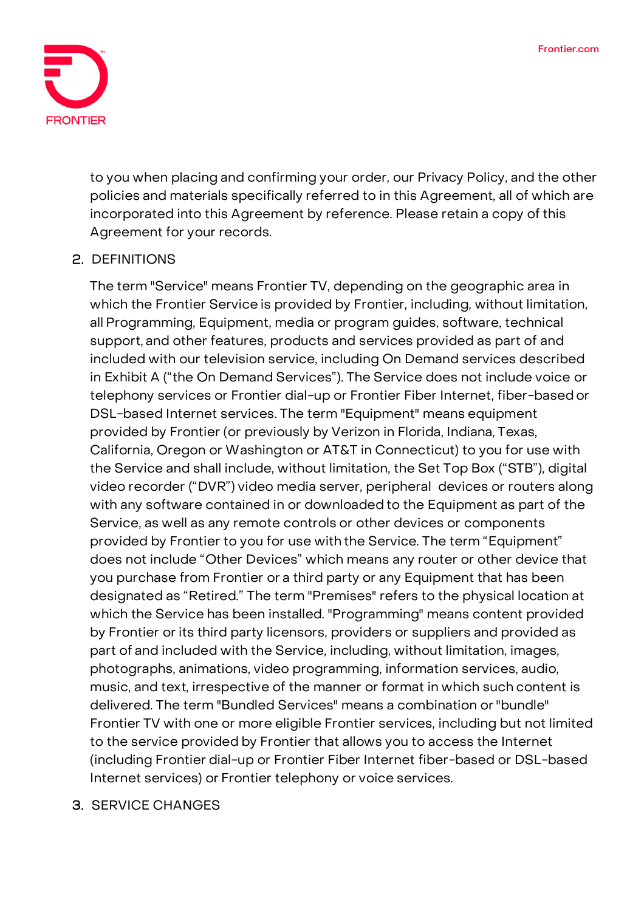

to you when placing and confirming your order, our Privacy Policy, and the other policies and materials specifically referred to in this Agreement, all of which are incorporated into this Agreement by reference. Please retain a copy of this Agreement for your records.

## 2. **DEFINITIONS**

The term "Service" means Frontier TV, depending on the geographic area in which the Frontier Service is provided by Frontier, including, without limitation, all Programming, Equipment, media or program guides, software, technical support, and other features, products and services provided as part of and included with our television service, including On Demand services described in Exhibit A ("the On Demand Services"). The Service does not include voice or telephony services or Frontier dial-up or Frontier Fiber Internet, fiber-basedor DSL-based Internet services. The term "Equipment" means equipment provided by Frontier (or previously by Verizon in Florida, Indiana, Texas, California, Oregon or Washington or AT&T in Connecticut) to you for use with the Service and shall include, without limitation, the Set Top Box ("STB"), digital video recorder ("DVR") video media server, peripheral devices or routers along with any software contained in or downloaded to the Equipment as part of the Service, as well as any remote controls or other devices or components provided by Frontier to you for use with the Service. The term "Equipment" does not include "Other Devices" which means any router or other device that you purchase from Frontier or a third party or any Equipment that has been designated as "Retired." The term "Premises" refers to the physical location at which the Service has been installed. "Programming" means content provided by Frontier or its third party licensors, providers or suppliers and provided as part of and included with the Service, including, without limitation, images, photographs, animations, video programming, information services, audio, music, and text, irrespective of the manner or format in which such content is delivered. The term "Bundled Services" means a combination or"bundle" Frontier TV with one or more eligible Frontier services, including but not limited to the service provided by Frontier that allows you to access the Internet (including Frontier dial-up or Frontier Fiber Internet fiber-based or DSL-based Internet services) or Frontier telephony or voice services.

#### 3. **SERVICE CHANGES**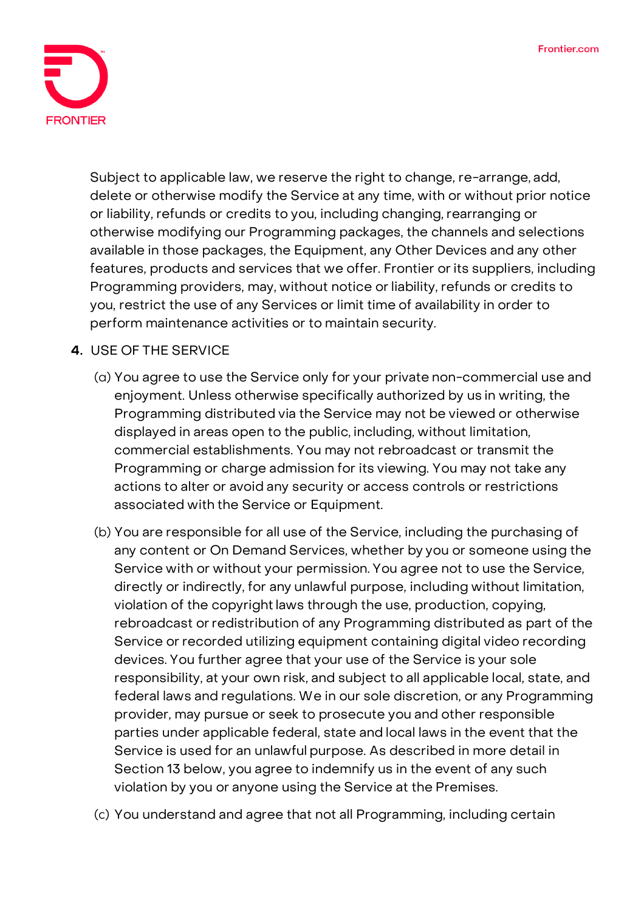

Subject to applicable law, we reserve the right to change, re-arrange, add, delete or otherwise modify the Service at any time, with or without prior notice or liability, refunds or credits to you, including changing, rearranging or otherwise modifying our Programming packages, the channels and selections available in those packages, the Equipment, any Other Devices and any other features, products and services that we offer. Frontier or its suppliers, including Programming providers, may, without notice or liability, refunds or credits to you, restrict the use of any Services or limit time of availability in order to perform maintenance activities or to maintain security.

# **4. USE OF THE SERVICE**

- (a) You agree to use the Service only for your private non-commercial use and enjoyment. Unless otherwise specifically authorized by us in writing, the Programming distributed via the Service may not be viewed or otherwise displayed in areas open to the public, including, without limitation, commercial establishments. You may not rebroadcast or transmit the Programming or charge admission for its viewing. You may not take any actions to alter or avoid any security or access controls or restrictions associated with the Service or Equipment.
- (b) You are responsible for all use of the Service, including the purchasing of any content or On Demand Services, whether by you or someone using the Service with or without your permission. You agree not to use the Service, directly or indirectly, for any unlawful purpose, including without limitation, violation of the copyright laws through the use, production, copying, rebroadcast or redistribution of any Programming distributed as part of the Service or recorded utilizing equipment containing digital video recording devices. You further agree that your use of the Service is your sole responsibility, at your own risk, and subject to all applicable local, state, and federal laws and regulations. We in our sole discretion, or any Programming provider, may pursue or seek to prosecute you and other responsible parties under applicable federal, state and local laws in the event that the Service is used for an unlawful purpose. As described in more detail in Section 13 below, you agree to indemnify us in the event of any such violation by you or anyone using the Service at the Premises.
- (c) You understand and agree that not all Programming, including certain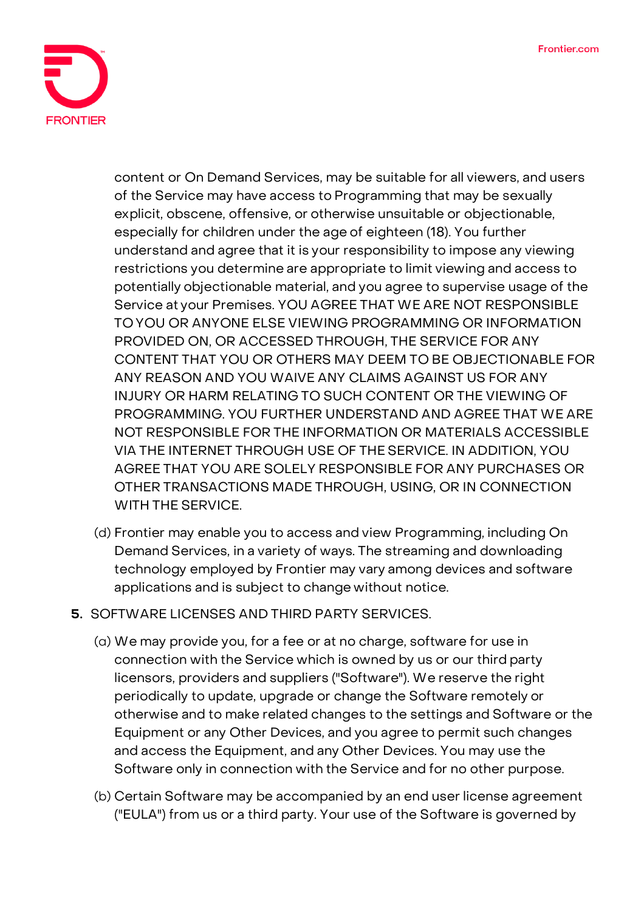

content or On Demand Services, may be suitable for all viewers, and users of the Service may have access to Programming that may be sexually explicit, obscene, offensive, or otherwise unsuitable or objectionable, especially for children under the age of eighteen (18). You further understand and agree that it is your responsibility to impose any viewing restrictions you determine are appropriate to limit viewing and access to potentially objectionable material, and you agree to supervise usage of the Service at your Premises. YOU AGREE THAT WE ARE NOT RESPONSIBLE TO YOU OR ANYONE ELSE VIEWING PROGRAMMING OR INFORMATION PROVIDED ON, OR ACCESSED THROUGH, THE SERVICE FOR ANY CONTENT THAT YOU OR OTHERS MAY DEEM TO BE OBJECTIONABLE FOR ANY REASON AND YOU WAIVE ANY CLAIMS AGAINST US FOR ANY INJURY OR HARM RELATING TO SUCH CONTENT OR THE VIEWING OF PROGRAMMING. YOU FURTHER UNDERSTAND AND AGREE THAT WE ARE NOT RESPONSIBLE FOR THE INFORMATION OR MATERIALS ACCESSIBLE VIA THE INTERNET THROUGH USE OF THE SERVICE. IN ADDITION, YOU AGREE THAT YOU ARE SOLELY RESPONSIBLE FOR ANY PURCHASES OR OTHER TRANSACTIONS MADE THROUGH, USING, OR IN CONNECTION WITH THE SERVICE.

- (d) Frontier may enable you to access and view Programming, including On Demand Services, in a variety of ways. The streaming and downloading technology employed by Frontier may vary among devices and software applications and is subject to change without notice.
- **5. SOFTWARE LICENSES AND THIRD PARTY SERVICES.**
	- (a) We may provide you, for a fee or at no charge, software for use in connection with the Service which is owned by us or our third party licensors, providers and suppliers ("Software"). We reserve the right periodically to update, upgrade or change the Software remotely or otherwise and to make related changes to the settings and Software or the Equipment or any Other Devices, and you agree to permit such changes and access the Equipment, and any Other Devices. You may use the Software only in connection with the Service and for no other purpose.
	- (b) Certain Software may be accompanied by an end user license agreement ("EULA") from us or a third party. Your use of the Software is governed by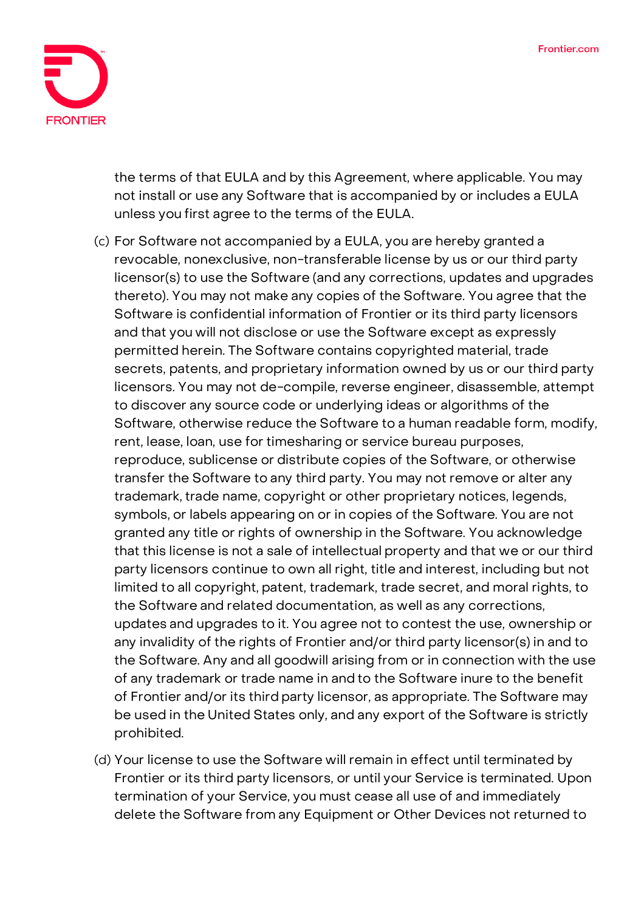

the terms of that EULA and by this Agreement, where applicable. You may not install or use any Software that is accompanied by or includes a EULA unless you first agree to the terms of the EULA.

- (c) For Software not accompanied by a EULA, you are hereby granted a revocable, nonexclusive, non-transferable license by us or our third party licensor(s) to use the Software (and any corrections, updates and upgrades thereto). You may not make any copies of the Software. You agree that the Software is confidential information of Frontier or its third party licensors and that you will not disclose or use the Software except as expressly permitted herein. The Software contains copyrighted material, trade secrets, patents, and proprietary information owned by us or our third party licensors. You may not de-compile, reverse engineer, disassemble, attempt to discover any source code or underlying ideas or algorithms of the Software, otherwise reduce the Software to a human readable form, modify, rent, lease, loan, use for timesharing or service bureau purposes, reproduce, sublicense or distribute copies of the Software, or otherwise transfer the Software to any third party. You may not remove or alter any trademark, trade name, copyright or other proprietary notices, legends, symbols, or labels appearing on or in copies of the Software. You are not granted any title or rights of ownership in the Software. You acknowledge that this license is not a sale of intellectual property and that we or our third party licensors continue to own all right, title and interest, including but not limited to all copyright, patent, trademark, trade secret, and moral rights, to the Software and related documentation, as well as any corrections, updates and upgrades to it. You agree not to contest the use, ownership or any invalidity of the rights of Frontier and/or third party licensor(s) in and to the Software. Any and all goodwill arising from or in connection with the use of any trademark or trade name in and to the Software inure to the benefit of Frontier and/or its third party licensor, as appropriate. The Software may be used in the United States only, and any export of the Software is strictly prohibited.
- (d) Your license to use the Software will remain in effect until terminated by Frontier or its third party licensors, or until your Service is terminated. Upon termination of your Service, you must cease all use of and immediately delete the Software from any Equipment or Other Devices not returned to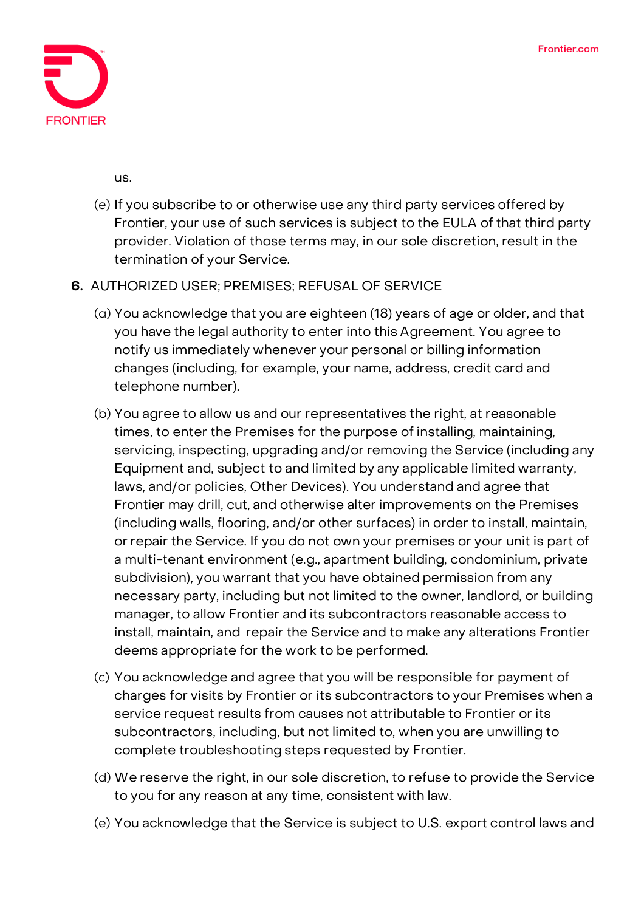

us.

(e) If you subscribe to or otherwise use any third party services offered by Frontier, your use of such services is subject to the EULA of that third party provider. Violation of those terms may, in our sole discretion, result in the termination of your Service.

## **6. AUTHORIZED USER; PREMISES; REFUSAL OF SERVICE**

- (a) You acknowledge that you are eighteen (18) years of age or older, and that you have the legal authority to enter into this Agreement. You agree to notify us immediately whenever your personal or billing information changes (including, for example, your name, address, credit card and telephone number).
- (b) You agree to allow us and our representatives the right, at reasonable times, to enter the Premises for the purpose of installing, maintaining, servicing, inspecting, upgrading and/or removing the Service (including any Equipment and, subject to and limited by any applicable limited warranty, laws, and/or policies, Other Devices). You understand and agree that Frontier may drill, cut, and otherwise alter improvements on the Premises (including walls, flooring, and/or other surfaces) in order to install, maintain, or repair the Service. If you do not own your premises or your unit is part of a multi-tenant environment (e.g., apartment building, condominium, private subdivision), you warrant that you have obtained permission from any necessary party, including but not limited to the owner, landlord, or building manager, to allow Frontier and its subcontractors reasonable access to install, maintain, and repair the Service and to make any alterations Frontier deems appropriate for the work to be performed.
- (c) You acknowledge and agree that you will be responsible for payment of charges for visits by Frontier or its subcontractors to your Premises when a service request results from causes not attributable to Frontier or its subcontractors, including, but not limited to, when you are unwilling to complete troubleshooting steps requested by Frontier.
- (d) We reserve the right, in our sole discretion, to refuse to provide the Service to you for any reason at any time, consistent with law.
- (e) You acknowledge that the Service is subject to U.S. export control laws and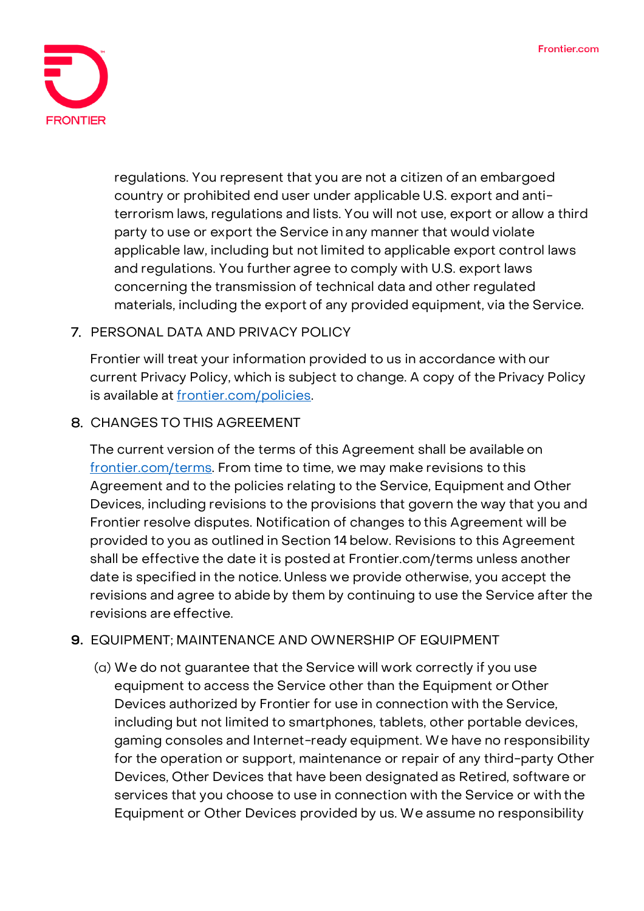

regulations. You represent that you are not a citizen of an embargoed country or prohibited end user under applicable U.S. export and antiterrorism laws, regulations and lists. You will not use, export or allow a third party to use or export the Service in any manner that would violate applicable law, including but not limited to applicable export control laws and regulations. You further agree to comply with U.S. export laws concerning the transmission of technical data and other regulated materials, including the export of any provided equipment, via the Service.

# 7. **PERSONAL DATA AND PRIVACY POLICY**

Frontier will treat your information provided to us in accordance with our current Privacy Policy, which is subject to change. A copy of the Privacy Policy is available at [frontier.com/policies.](https://frontier.com/corporate/policies)

# 8. **CHANGES TO THIS AGREEMENT**

The current version of the terms of this Agreement shall be available on [frontier.com/terms.](https://frontier.com/corporate/terms) From time to time, we may make revisions to this Agreement and to the policies relating to the Service, Equipment and Other Devices, including revisions to the provisions that govern the way that you and Frontier resolve disputes. Notification of changes to this Agreement will be provided to you as outlined in Section 14 below. Revisions to this Agreement shall be effective the date it is posted at Frontier.com/terms unless another date is specified in the notice. Unless we provide otherwise, you accept the revisions and agree to abide by them by continuing to use the Service after the revisions are effective.

## **9. EQUIPMENT; MAINTENANCE AND OWNERSHIP OF EQUIPMENT**

(a) We do not guarantee that the Service will work correctly if you use equipment to access the Service other than the Equipment or Other Devices authorized by Frontier for use in connection with the Service, including but not limited to smartphones, tablets, other portable devices, gaming consoles and Internet-ready equipment. We have no responsibility for the operation or support, maintenance or repair of any third-party Other Devices, Other Devices that have been designated as Retired, software or services that you choose to use in connection with the Service or with the Equipment or Other Devices provided by us. We assume no responsibility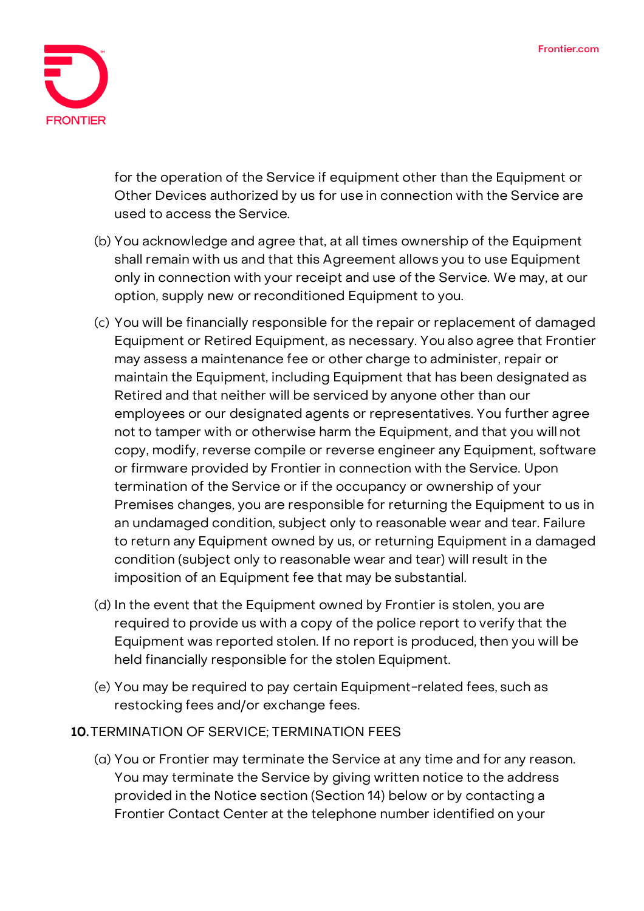

for the operation of the Service if equipment other than the Equipment or Other Devices authorized by us for use in connection with the Service are used to access the Service.

- (b) You acknowledge and agree that, at all times ownership of the Equipment shall remain with us and that this Agreement allows you to use Equipment only in connection with your receipt and use ofthe Service. We may, at our option, supply new or reconditioned Equipment to you.
- (c) You will be financially responsible for the repair or replacement of damaged Equipment or Retired Equipment, as necessary. You also agree that Frontier may assess a maintenance fee or other charge to administer, repair or maintain the Equipment, including Equipment that has been designated as Retired and that neither will be serviced by anyone other than our employees or our designated agents or representatives. You further agree not to tamper with or otherwise harm the Equipment, and that you will not copy, modify, reverse compile or reverse engineer any Equipment, software or firmware provided by Frontier in connection with the Service. Upon termination of the Service or if the occupancy or ownership of your Premises changes, you are responsible for returning the Equipment to us in an undamaged condition, subject only to reasonable wear and tear. Failure to return any Equipment owned by us, or returning Equipment in a damaged condition (subject only to reasonable wear and tear) will result in the imposition of an Equipment fee that may be substantial.
- (d) In the event that the Equipment owned by Frontier is stolen, you are required to provide us with a copy of the police report to verify that the Equipment was reported stolen. If no report is produced, then you will be held financially responsible for the stolen Equipment.
- (e) You may be required to pay certain Equipment-related fees, such as restocking fees and/or exchange fees.

#### **10.TERMINATION OF SERVICE; TERMINATION FEES**

(a) You or Frontier may terminate the Service at any time and for any reason. You may terminate the Service by giving written notice to the address provided in the Notice section (Section 14) below or by contacting a Frontier Contact Center at the telephone number identified on your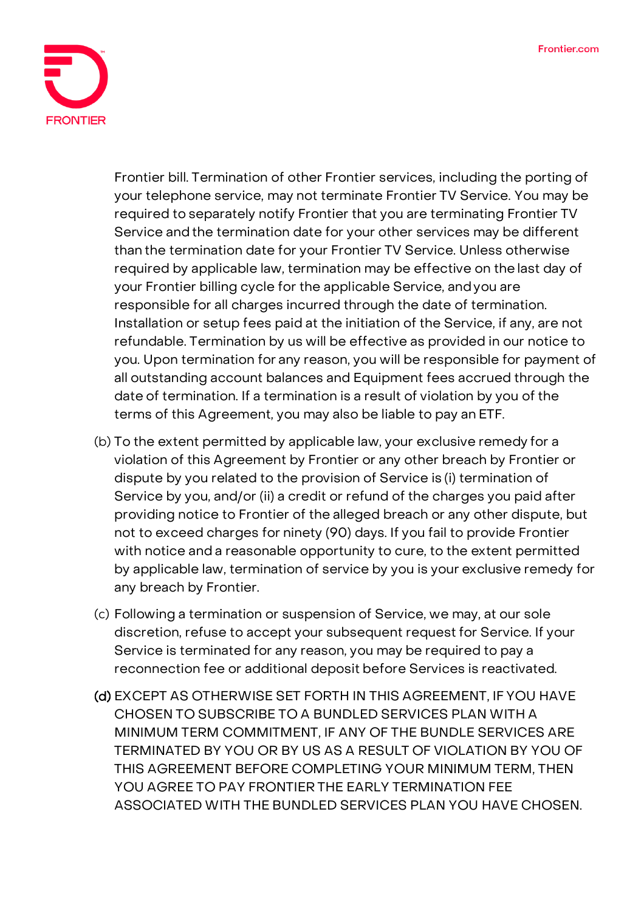

Frontier bill. Termination of other Frontier services, including the porting of your telephone service, may not terminate Frontier TV Service. You may be required to separately notify Frontier that you are terminating Frontier TV Service and the termination date for your other services may be different than the termination date for your Frontier TV Service. Unless otherwise required by applicable law, termination may be effective on the last day of your Frontier billing cycle for the applicable Service, andyou are responsible for all charges incurred through the date of termination. Installation or setup fees paid at the initiation of the Service, if any, are not refundable. Termination by us will be effective as provided in our notice to you. Upon termination for any reason, you will be responsible for payment of all outstanding account balances and Equipment fees accrued through the date of termination. If a termination is a result of violation by you of the terms of this Agreement, you may also be liable to pay an ETF.

- (b) To the extent permitted by applicable law, your exclusive remedy for a violation of this Agreement by Frontier or any other breach by Frontier or dispute by you related to the provision of Service is (i) termination of Service by you, and/or (ii) a credit or refund of the charges you paid after providing notice to Frontier of the alleged breach or any other dispute, but not to exceed charges for ninety (90) days. If you fail to provide Frontier with notice and a reasonable opportunity to cure, to the extent permitted by applicable law, termination of service by you is your exclusive remedy for any breach by Frontier.
- (c) Following a termination or suspension of Service, we may, at our sole discretion, refuse to accept your subsequent request for Service. If your Service is terminated for any reason, you may be required to pay a reconnection fee or additional deposit before Services is reactivated.
- (d) **EXCEPT AS OTHERWISE SET FORTH IN THIS AGREEMENT, IF YOU HAVE CHOSEN TO SUBSCRIBE TO A BUNDLED SERVICES PLAN WITH A MINIMUM TERM COMMITMENT, IF ANY OF THE BUNDLE SERVICES ARE TERMINATED BY YOU OR BY US AS A RESULT OF VIOLATION BY YOU OF THIS AGREEMENT BEFORE COMPLETING YOUR MINIMUM TERM, THEN YOU AGREE TO PAY FRONTIER THE EARLY TERMINATION FEE ASSOCIATED WITH THE BUNDLED SERVICES PLAN YOU HAVE CHOSEN.**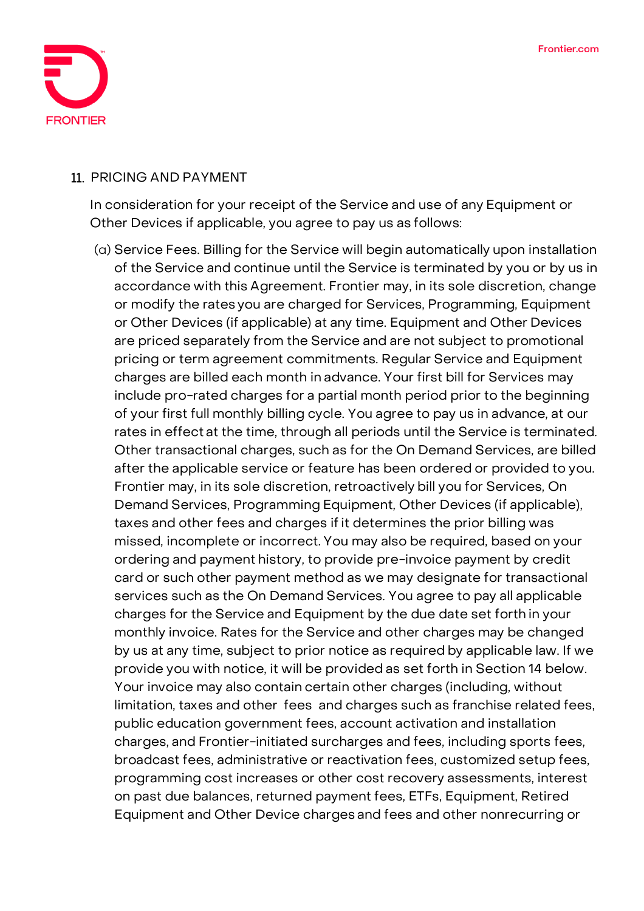

#### 11. **PRICING AND PAYMENT**

In consideration for your receipt of the Service and use of any Equipment or Other Devices if applicable, you agree to pay us as follows:

(a) Service Fees. Billing for the Service will begin automatically upon installation of the Service and continue until the Service is terminated by you or by us in accordance with this Agreement. Frontier may, in its sole discretion, change or modify the rates you are charged for Services, Programming, Equipment or Other Devices (if applicable) at any time. Equipment and Other Devices are priced separately from the Service and are not subject to promotional pricing or term agreement commitments. Regular Service and Equipment charges are billed each month in advance. Your first bill for Services may include pro-rated charges for a partial month period prior to the beginning of your first full monthly billing cycle. You agree to pay us in advance, at our rates in effect at the time, through all periods until the Service is terminated. Other transactional charges, such as for the On Demand Services, are billed after the applicable service or feature has been ordered or provided to you. Frontier may, in its sole discretion, retroactively bill you for Services, On Demand Services, Programming Equipment, Other Devices (if applicable), taxes and other fees and charges if it determines the prior billing was missed, incomplete or incorrect. You may also be required, based on your ordering and payment history, to provide pre-invoice payment by credit card or such other payment method as we may designate for transactional services such as the On Demand Services. You agree to pay all applicable charges for the Service and Equipment by the due date set forth in your monthly invoice. Rates for the Service and other charges may be changed by us at any time, subject to prior notice as required by applicable law. If we provide you with notice, it will be provided as set forth in Section 14 below. Your invoice may also contain certain other charges (including, without limitation, taxes and other fees and charges such as franchise related fees, public education government fees, account activation and installation charges, and Frontier-initiated surcharges and fees, including sports fees, broadcast fees, administrative or reactivation fees, customized setup fees, programming cost increases or other cost recovery assessments, interest on past due balances, returned payment fees, ETFs, Equipment, Retired Equipment and Other Device charges and fees and other nonrecurring or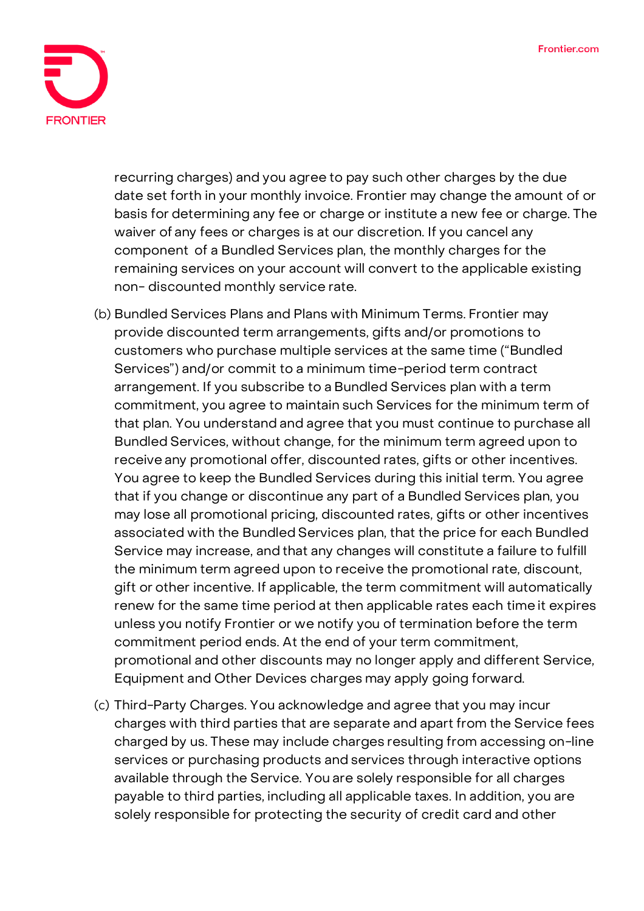

recurring charges) and you agree to pay such other charges by the due date set forth in your monthly invoice. Frontier may change the amount of or basis for determining any fee or charge or institute a new fee or charge. The waiver of any fees or charges is at our discretion. If you cancel any component of a Bundled Services plan, the monthly charges for the remaining services on your account will convert to the applicable existing non- discounted monthly service rate.

- (b) Bundled Services Plans and Plans with Minimum Terms. Frontier may provide discounted term arrangements, gifts and/or promotions to customers who purchase multiple services at the same time ("Bundled Services") and/or commit to a minimum time-period term contract arrangement. If you subscribe to a Bundled Services plan with a term commitment, you agree to maintain such Services for the minimum term of that plan. You understand and agree that you must continue to purchase all Bundled Services, without change, for the minimum term agreed upon to receive any promotional offer, discounted rates, gifts or other incentives. You agree to keep the Bundled Services during this initial term. You agree that if you change or discontinue any part of a Bundled Services plan, you may lose all promotional pricing, discounted rates, gifts or other incentives associated with the Bundled Services plan, that the price for each Bundled Service may increase, and that any changes will constitute a failure to fulfill the minimum term agreed upon to receive the promotional rate, discount, gift or other incentive. If applicable, the term commitment will automatically renew for the same time period at then applicable rates each timeit expires unless you notify Frontier or we notify you of termination before the term commitment period ends. At the end of your term commitment, promotional and other discounts may no longer apply and different Service, Equipment and Other Devices charges may apply going forward.
- (c) Third-Party Charges. You acknowledge and agree that you may incur charges with third parties that are separate and apart from the Service fees charged by us. These may include charges resulting from accessing on-line services or purchasing products and services through interactive options available through the Service. You are solely responsible for all charges payable to third parties, including all applicable taxes. In addition, you are solely responsible for protecting the security of credit card and other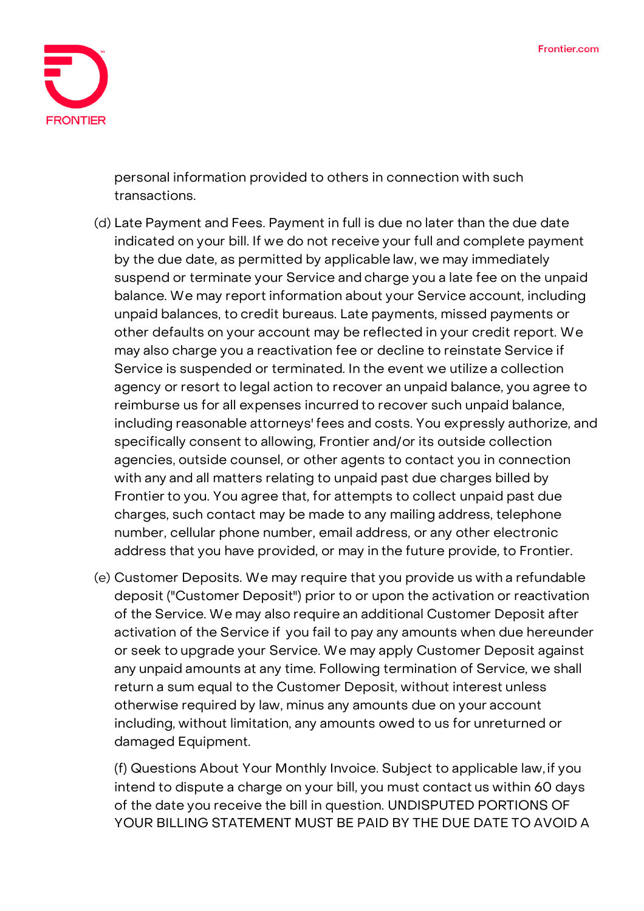

personal information provided to others in connection with such transactions.

- (d) Late Payment and Fees. Payment in full is due no later than the due date indicated on your bill. If we do not receive your full and complete payment by the due date, as permitted by applicable law, we may immediately suspend or terminate your Service and charge you a late fee on the unpaid balance. **We may report information about your Service account, including unpaid balances, to credit bureaus. Late payments, missed payments or other defaults on your account may be reflected in your credit report.** We may also charge you a reactivation fee or decline to reinstate Service if Service is suspended or terminated. In the event we utilize a collection agency or resort to legal action to recover an unpaid balance, you agree to reimburse us for all expenses incurred to recover such unpaid balance, including reasonable attorneys' fees and costs. You expressly authorize, and specifically consent to allowing, Frontier and/or its outside collection agencies, outside counsel, or other agents to contact you in connection with any and all matters relating to unpaid past due charges billed by Frontier to you. You agree that, for attempts to collect unpaid past due charges, such contact may be made to any mailing address, telephone number, cellular phone number, email address, or any other electronic address that you have provided, or may in the future provide, to Frontier.
- (e) Customer Deposits. We may require that you provide us with a refundable deposit ("Customer Deposit") prior to or upon the activation or reactivation of the Service. We may also require an additional Customer Deposit after activation of the Service if you fail to pay any amounts when due hereunder or seek to upgrade your Service. We may apply Customer Deposit against any unpaid amounts at any time. Following termination of Service, we shall return a sum equal to the Customer Deposit, without interest unless otherwise required by law, minus any amounts due on your account including, without limitation, any amounts owed to us for unreturned or damaged Equipment.

**(f)** Questions About Your Monthly Invoice. Subject to applicable law, if you intend to dispute a charge on your bill, you must contact us within 60 days of the date you receive the bill in question. **UNDISPUTED PORTIONS OF YOUR BILLING STATEMENT MUST BE PAID BY THE DUE DATE TO AVOID A**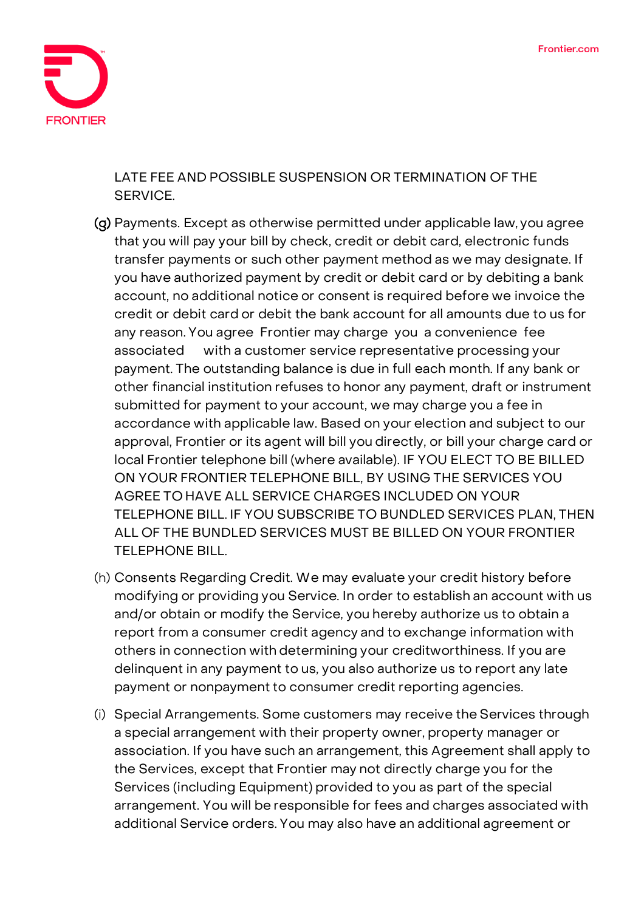

**LATE FEE AND POSSIBLE SUSPENSION OR TERMINATION OF THE SERVICE.**

- (g) Payments. Except as otherwise permitted under applicable law, you agree that you will pay your bill by check, credit or debit card, electronic funds transfer payments or such other payment method as we may designate. If you have authorized payment by credit or debit card or by debiting a bank account, no additional notice or consent is required before we invoice the credit or debit card or debit the bank account for all amounts due to us for any reason. You agree Frontier may charge you a convenience fee associated with a customer service representative processing your payment. The outstanding balance is due in full each month. If any bank or other financial institution refuses to honor any payment, draft or instrument submitted for payment to your account, we may charge you a fee in accordance with applicable law. Based on your election and subject to our approval, Frontier or its agent will bill you directly, or bill your charge card or local Frontier telephone bill (where available). **IF YOU ELECT TO BE BILLED ON YOUR FRONTIER TELEPHONE BILL, BY USING THE SERVICES YOU AGREE TO HAVE ALL SERVICE CHARGES INCLUDED ON YOUR TELEPHONE BILL. IF YOU SUBSCRIBE TO BUNDLED SERVICES PLAN, THEN ALL OF THE BUNDLED SERVICES MUST BE BILLED ON YOUR FRONTIER TELEPHONE BILL.**
- (h) Consents Regarding Credit. We may evaluate your credit history before modifying or providing you Service. In order to establish an account with us and/or obtain or modify the Service, you hereby authorize us to obtain a report from a consumer credit agency and to exchange information with others in connection with determining your creditworthiness. If you are delinquent in any payment to us, you also authorize us to report any late payment or nonpayment to consumer credit reporting agencies.
- (i) Special Arrangements. Some customers may receive the Services through a special arrangement with their property owner, property manager or association. If you have such an arrangement, this Agreement shall apply to the Services, except that Frontier may not directly charge you for the Services (including Equipment) provided to you as part of the special arrangement. You will be responsible for fees and charges associated with additional Service orders. You may also have an additional agreement or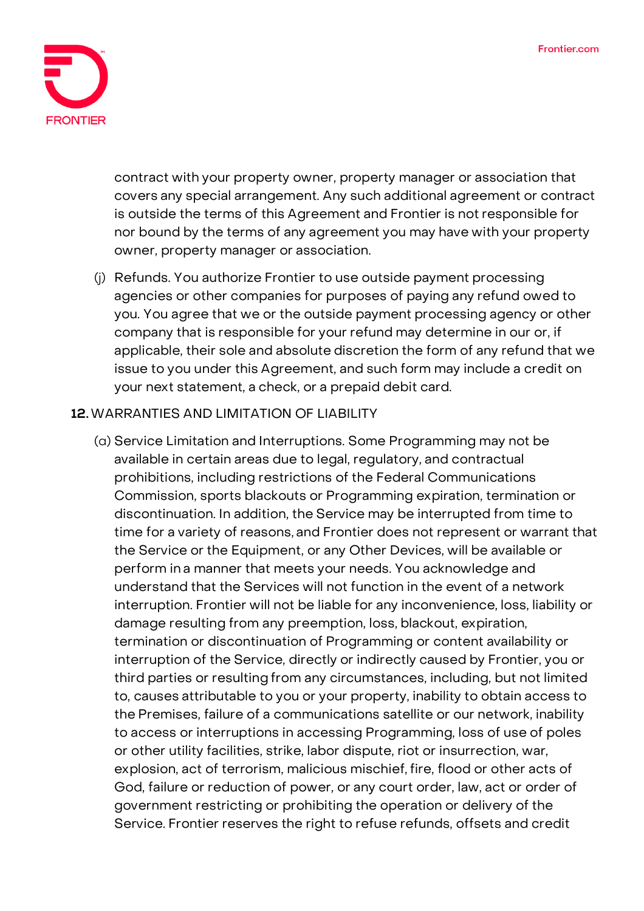

contract with your property owner, property manager or association that covers any special arrangement. Any such additional agreement or contract is outside the terms of this Agreement and Frontier is not responsible for nor bound by the terms of any agreement you may have with your property owner, property manager or association.

(j) Refunds. You authorize Frontier to use outside payment processing agencies or other companies for purposes of paying any refund owed to you. You agree that we or the outside payment processing agency or other company that is responsible for your refund may determine in our or, if applicable, their sole and absolute discretion the form of any refund that we issue to you under this Agreement, and such form may include a credit on your next statement, a check, or a prepaid debit card.

## **12.WARRANTIES AND LIMITATION OF LIABILITY**

(a) Service Limitation and Interruptions. Some Programming may not be available in certain areas due to legal, regulatory, and contractual prohibitions, including restrictions of the Federal Communications Commission, sports blackouts or Programming expiration, termination or discontinuation. In addition, the Service may be interrupted from time to time for a variety of reasons, and Frontier does not represent or warrant that the Service or the Equipment, or any Other Devices, will be available or perform in a manner that meets your needs. You acknowledge and understand that the Services will not function in the event of a network interruption. Frontier will not be liable for any inconvenience, loss, liability or damage resulting from any preemption, loss, blackout, expiration, termination or discontinuation of Programming or content availability or interruption of the Service, directly or indirectly caused by Frontier, you or third parties or resulting from any circumstances, including, but not limited to, causes attributable to you or your property, inability to obtain access to the Premises, failure of a communications satellite or our network, inability to access or interruptions in accessing Programming, loss of use of poles or other utility facilities, strike, labor dispute, riot or insurrection, war, explosion, act of terrorism, malicious mischief, fire, flood or other acts of God, failure or reduction of power, or any court order, law, act or order of government restricting or prohibiting the operation or delivery of the Service. Frontier reserves the right to refuse refunds, offsets and credit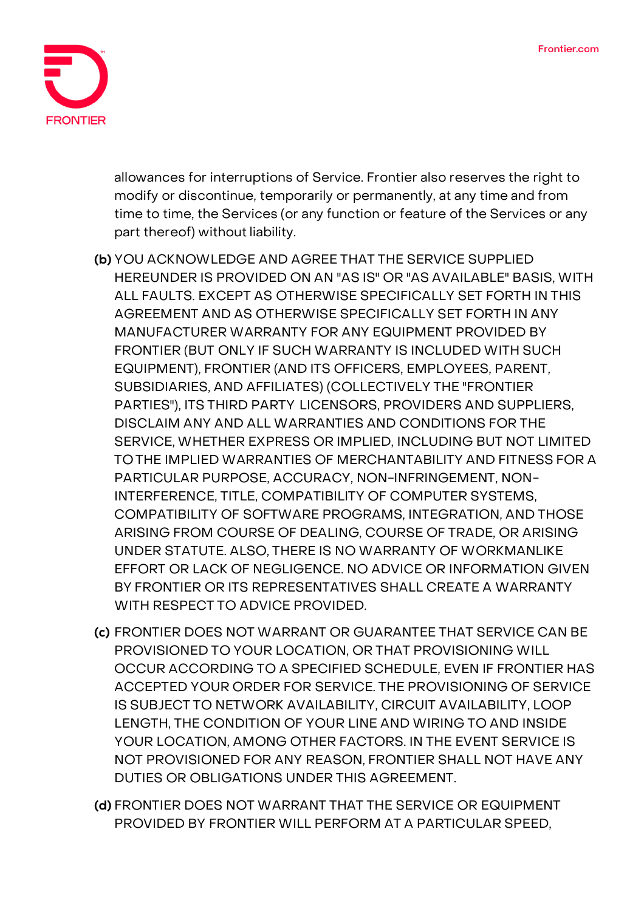

allowances for interruptions of Service. Frontier also reserves the right to modify or discontinue, temporarily or permanently, at any time and from time to time, the Services (or any function or feature of the Services or any part thereof) without liability.

- **(b) YOU ACKNOWLEDGE AND AGREE THAT THE SERVICE SUPPLIED HEREUNDER IS PROVIDED ON AN "AS IS" OR "AS AVAILABLE" BASIS, WITH ALL FAULTS. EXCEPT AS OTHERWISE SPECIFICALLY SET FORTH IN THIS AGREEMENT AND AS OTHERWISE SPECIFICALLY SET FORTH IN ANY MANUFACTURER WARRANTY FOR ANY EQUIPMENT PROVIDED BY FRONTIER (BUT ONLY IF SUCH WARRANTY IS INCLUDED WITH SUCH EQUIPMENT), FRONTIER (AND ITS OFFICERS, EMPLOYEES, PARENT, SUBSIDIARIES, AND AFFILIATES) (COLLECTIVELY THE "FRONTIER PARTIES"), ITS THIRD PARTY LICENSORS, PROVIDERS AND SUPPLIERS, DISCLAIM ANY AND ALL WARRANTIES AND CONDITIONS FOR THE SERVICE, WHETHER EXPRESS OR IMPLIED, INCLUDING BUT NOT LIMITED TO THE IMPLIED WARRANTIES OF MERCHANTABILITY AND FITNESS FOR A PARTICULAR PURPOSE, ACCURACY, NON-INFRINGEMENT, NON-INTERFERENCE, TITLE, COMPATIBILITY OF COMPUTER SYSTEMS, COMPATIBILITY OF SOFTWARE PROGRAMS, INTEGRATION, AND THOSE ARISING FROM COURSE OF DEALING, COURSE OF TRADE, OR ARISING UNDER STATUTE. ALSO, THERE IS NO WARRANTY OF WORKMANLIKE EFFORT OR LACK OF NEGLIGENCE. NO ADVICE OR INFORMATION GIVEN BY FRONTIER OR ITS REPRESENTATIVES SHALL CREATE A WARRANTY WITH RESPECT TO ADVICE PROVIDED.**
- **(c) FRONTIER DOES NOT WARRANT OR GUARANTEE THAT SERVICE CAN BE PROVISIONED TO YOUR LOCATION, OR THAT PROVISIONING WILL OCCUR ACCORDING TO A SPECIFIED SCHEDULE, EVEN IF FRONTIER HAS ACCEPTED YOUR ORDER FOR SERVICE. THE PROVISIONING OF SERVICE IS SUBJECT TO NETWORK AVAILABILITY, CIRCUIT AVAILABILITY, LOOP LENGTH, THE CONDITION OF YOUR LINE AND WIRING TO AND INSIDE YOUR LOCATION, AMONG OTHER FACTORS. IN THE EVENT SERVICE IS NOT PROVISIONED FOR ANY REASON, FRONTIER SHALL NOT HAVE ANY DUTIES OR OBLIGATIONS UNDER THIS AGREEMENT.**
- **(d) FRONTIER DOES NOT WARRANT THAT THE SERVICE OR EQUIPMENT PROVIDED BY FRONTIER WILL PERFORM AT A PARTICULAR SPEED,**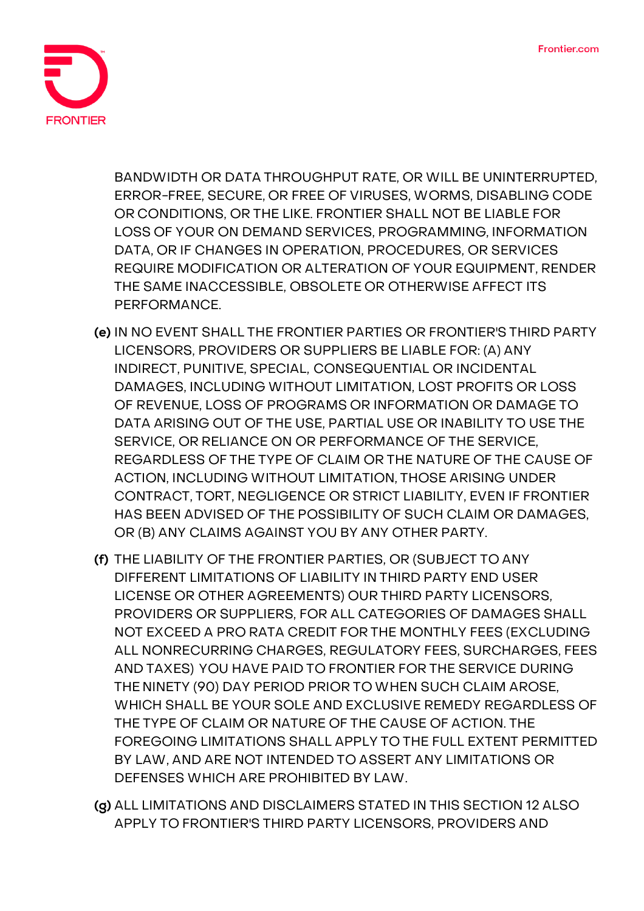

**BANDWIDTH OR DATA THROUGHPUT RATE, OR WILL BE UNINTERRUPTED, ERROR-FREE, SECURE, OR FREE OF VIRUSES, WORMS, DISABLING CODE OR CONDITIONS, OR THE LIKE. FRONTIER SHALL NOT BE LIABLE FOR LOSS OF YOUR ON DEMAND SERVICES, PROGRAMMING, INFORMATION DATA, OR IF CHANGES IN OPERATION, PROCEDURES, OR SERVICES REQUIRE MODIFICATION OR ALTERATION OF YOUR EQUIPMENT, RENDER THE SAME INACCESSIBLE, OBSOLETE OR OTHERWISE AFFECT ITS PERFORMANCE.**

- **(e) IN NO EVENT SHALL THE FRONTIER PARTIES OR FRONTIER'S THIRD PARTY LICENSORS, PROVIDERS OR SUPPLIERS BE LIABLE FOR: (A) ANY INDIRECT, PUNITIVE, SPECIAL, CONSEQUENTIAL OR INCIDENTAL DAMAGES, INCLUDING WITHOUT LIMITATION, LOST PROFITS OR LOSS OF REVENUE, LOSS OF PROGRAMS OR INFORMATION OR DAMAGE TO DATA ARISING OUT OF THE USE, PARTIAL USE OR INABILITY TO USE THE SERVICE, OR RELIANCE ON OR PERFORMANCE OF THE SERVICE, REGARDLESS OF THE TYPE OF CLAIM OR THE NATURE OF THE CAUSE OF ACTION, INCLUDING WITHOUT LIMITATION, THOSE ARISING UNDER CONTRACT, TORT, NEGLIGENCE OR STRICT LIABILITY, EVEN IF FRONTIER HAS BEEN ADVISED OF THE POSSIBILITY OF SUCH CLAIM OR DAMAGES, OR (B) ANY CLAIMS AGAINST YOU BY ANY OTHER PARTY.**
- **(f) THE LIABILITY OF THE FRONTIER PARTIES, OR (SUBJECT TO ANY DIFFERENT LIMITATIONS OF LIABILITY IN THIRD PARTY END USER LICENSE OR OTHER AGREEMENTS) OUR THIRD PARTY LICENSORS, PROVIDERS OR SUPPLIERS, FOR ALL CATEGORIES OF DAMAGES SHALL NOT EXCEED A PRO RATA CREDIT FOR THE MONTHLY FEES (EXCLUDING ALL NONRECURRING CHARGES, REGULATORY FEES, SURCHARGES, FEES AND TAXES) YOU HAVE PAID TO FRONTIER FOR THE SERVICE DURING THE NINETY (90) DAY PERIOD PRIOR TO WHEN SUCH CLAIM AROSE, WHICH SHALL BE YOUR SOLE AND EXCLUSIVE REMEDY REGARDLESS OF THE TYPE OF CLAIM OR NATURE OF THE CAUSE OF ACTION. THE FOREGOING LIMITATIONS SHALL APPLY TO THE FULL EXTENT PERMITTED BY LAW, AND ARE NOT INTENDED TO ASSERT ANY LIMITATIONS OR DEFENSES WHICH ARE PROHIBITED BY LAW.**
- **(g) ALL LIMITATIONS AND DISCLAIMERS STATED IN THIS SECTION 12 ALSO APPLY TO FRONTIER'S THIRD PARTY LICENSORS, PROVIDERS AND**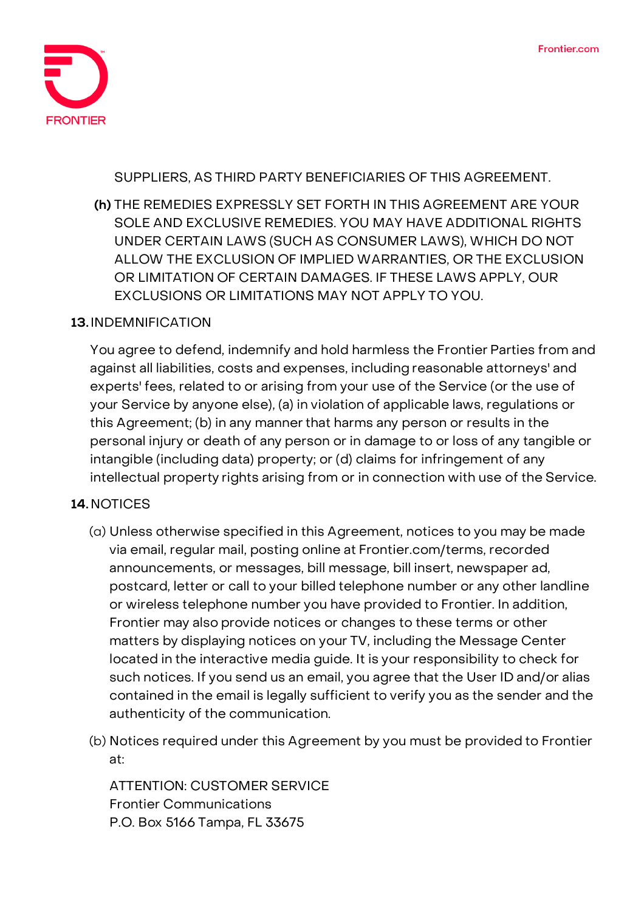

**SUPPLIERS, AS THIRD PARTY BENEFICIARIES OF THIS AGREEMENT.**

**(h) THE REMEDIES EXPRESSLY SET FORTH IN THIS AGREEMENT ARE YOUR SOLE AND EXCLUSIVE REMEDIES. YOU MAY HAVE ADDITIONAL RIGHTS UNDER CERTAIN LAWS (SUCH AS CONSUMER LAWS), WHICH DO NOT ALLOW THE EXCLUSION OF IMPLIED WARRANTIES, OR THE EXCLUSION OR LIMITATION OF CERTAIN DAMAGES. IF THESE LAWS APPLY, OUR EXCLUSIONS OR LIMITATIONS MAY NOT APPLY TO YOU.**

#### **13.INDEMNIFICATION**

You agree to defend, indemnify and hold harmless the Frontier Parties from and against all liabilities, costs and expenses, including reasonable attorneys' and experts' fees, related to or arising from your use of the Service (or the use of your Service by anyone else), (a) in violation of applicable laws, regulations or this Agreement; (b) in any manner that harms any person or results in the personal injury or death of any person or in damage to or loss of any tangible or intangible (including data) property; or (d) claims for infringement of any intellectual property rights arising from or in connection with use of the Service.

## **14.NOTICES**

- (a) Unless otherwise specified in this Agreement, notices to you may be made via email, regular mail, posting online at Frontier.com/terms, recorded announcements, or messages, bill message, bill insert, newspaper ad, postcard, letter or call to your billed telephone number or any other landline or wireless telephone number you have provided to Frontier. In addition, Frontier may also provide notices or changes to these terms or other matters by displaying notices on your TV, including the Message Center located in the interactive media guide. It is your responsibility to check for such notices. If you send us an email, you agree that the User ID and/or alias contained in the email is legally sufficient to verify you as the sender and the authenticity of the communication.
- (b) Notices required under this Agreement by you must be provided to Frontier at:

**ATTENTION: CUSTOMER SERVICE Frontier Communications P.O. Box 5166 Tampa, FL 33675**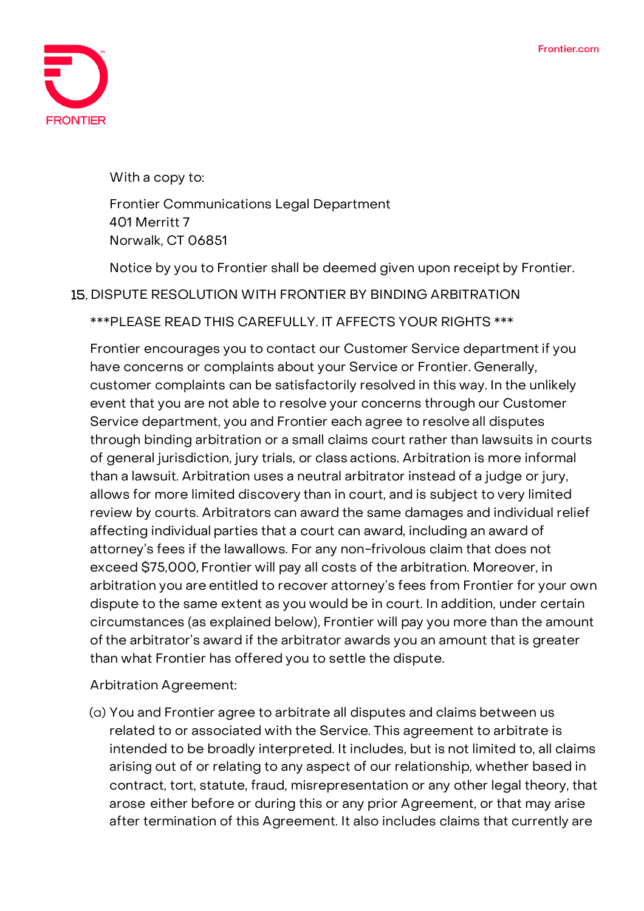

With a copy to:

**Frontier Communications Legal Department 401 Merritt 7 Norwalk, CT 06851**

Notice by you to Frontier shall be deemed given upon receipt by Frontier.

#### 15. **DISPUTE RESOLUTION WITH FRONTIER BY BINDING ARBITRATION**

**\*\*\*PLEASE READ THIS CAREFULLY. IT AFFECTS YOUR RIGHTS \*\*\***

Frontier encourages you to contact our Customer Service departmentif you have concerns or complaints about your Service or Frontier. Generally, customer complaints can be satisfactorily resolved in this way. In the unlikely event that you are not able to resolve your concerns through our Customer Service department, you and Frontier each agree to resolve all disputes through binding arbitration or a small claims court rather than lawsuits in courts of general jurisdiction, jury trials, or class actions. Arbitration is more informal than a lawsuit. Arbitration uses a neutral arbitrator instead of a judge or jury, allows for more limited discovery than in court, and is subject to very limited review by courts. Arbitrators can award the same damages and individual relief affecting individual parties that a court can award, including an award of attorney's fees if the lawallows. For any non-frivolous claim that does not exceed \$75,000, Frontier will pay all costs of the arbitration. Moreover, in arbitration you are entitled to recover attorney's fees from Frontier for your own dispute to the same extent as you would be in court. In addition, under certain circumstances (as explained below), Frontier will pay you more than the amount of the arbitrator's award if the arbitrator awards you an amount that is greater than what Frontier has offered you to settle the dispute.

**Arbitration Agreement:**

(a) You and Frontier agree to arbitrate all disputes and claims between us related to or associated with the Service. This agreement to arbitrate is intended to be broadly interpreted. It includes, but is not limited to, all claims arising out of or relating to any aspect of our relationship, whether based in contract, tort, statute, fraud, misrepresentation or any other legal theory, that arose either before or during this or any prior Agreement, or that may arise after termination of this Agreement. It also includes claims that currently are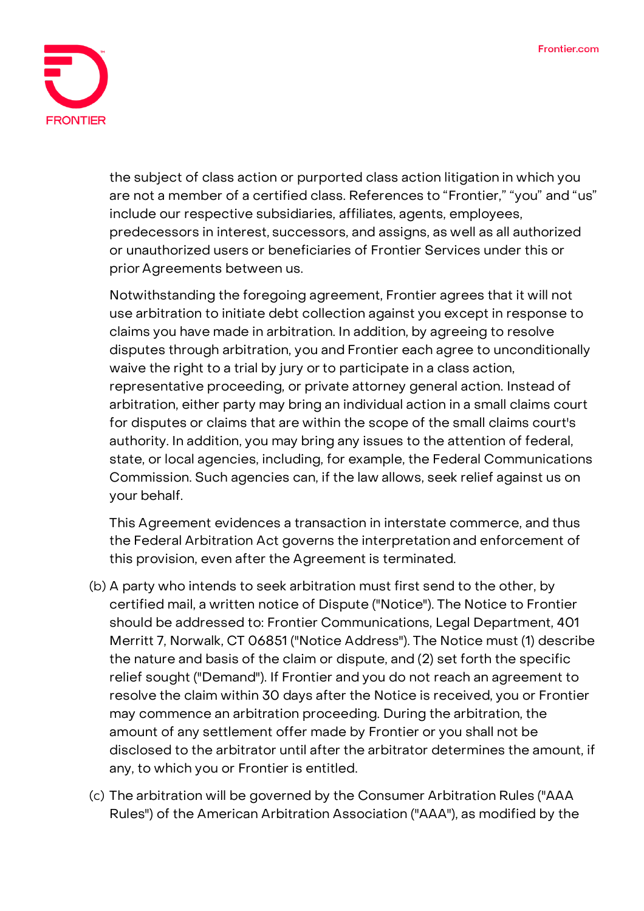

the subject of class action or purported class action litigation in which you are not a member of a certified class. References to "Frontier," "you" and "us" include our respective subsidiaries, affiliates, agents, employees, predecessors in interest, successors, and assigns, as well as all authorized or unauthorized users or beneficiaries of Frontier Services under this or prior Agreements between us.

Notwithstanding the foregoing agreement, Frontier agrees that it will not use arbitration to initiate debt collection against you except in response to claims you have made in arbitration. In addition, by agreeing to resolve disputes through arbitration, **you and Frontier each agree to unconditionally waive the right to a trial by jury or to participate in a class action, representative proceeding, or private attorney general action.** Instead of arbitration, either party may bring an individual action in a small claims court for disputes or claims that are within the scope of the small claims court's authority. In addition, you may bring any issues to the attention of federal, state, or local agencies, including, for example, the Federal Communications Commission. Such agencies can, if the law allows, seek relief against us on your behalf.

This Agreement evidences a transaction in interstate commerce, and thus the Federal Arbitration Act governs the interpretation and enforcement of this provision, even after the Agreement is terminated.

- (b) A party who intends to seek arbitration must first send to the other, by certified mail, a written notice of Dispute ("Notice"). The Notice to Frontier should be addressed to: Frontier Communications, Legal Department, 401 Merritt 7, Norwalk, CT 06851 ("Notice Address"). The Notice must (1) describe the nature and basis of the claim or dispute, and (2) set forth the specific relief sought ("Demand"). If Frontier and you do not reach an agreement to resolve the claim within 30 days after the Notice is received, you or Frontier may commence an arbitration proceeding. During the arbitration, the amount of any settlement offer made by Frontier or you shall not be disclosed to the arbitrator until after the arbitrator determines the amount, if any, to which you or Frontier is entitled.
- (c) The arbitration will be governed by the Consumer Arbitration Rules ("AAA Rules") of the American Arbitration Association ("AAA"), as modified by the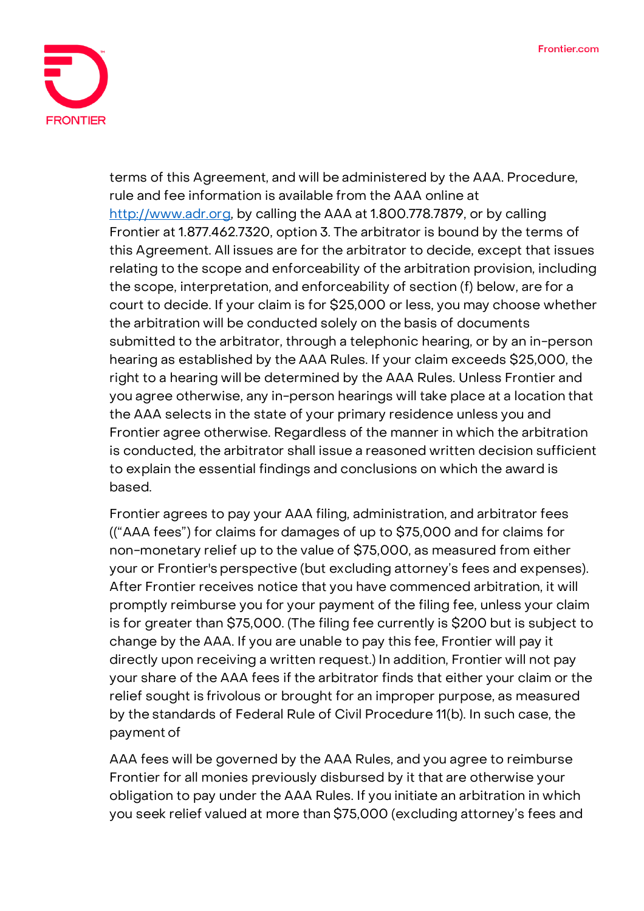

terms of this Agreement, and will be administered by the AAA. Procedure, rule and fee information is available from the AAA online at [http://www.adr.org,](http://www.adr.org/) by calling the AAA at 1.800.778.7879, or by calling Frontier at 1.877.462.7320, option 3. The arbitrator is bound by the terms of this Agreement. All issues are for the arbitrator to decide, except that issues relating to the scope and enforceability of the arbitration provision, including the scope, interpretation, and enforceability of section (f) below, are for a court to decide. If your claim is for \$25,000 or less, you may choose whether the arbitration will be conducted solely on the basis of documents submitted to the arbitrator, through a telephonic hearing, or by an in-person hearing as established by the AAA Rules. If your claim exceeds \$25,000, the right to a hearing will be determined by the AAA Rules. Unless Frontier and you agree otherwise, any in-person hearings will take place at a location that the AAA selects in the state of your primary residence unless you and Frontier agree otherwise. Regardless of the manner in which the arbitration is conducted, the arbitrator shall issue a reasoned written decision sufficient to explain the essential findings and conclusions on which the award is based.

Frontier agrees to pay your AAA filing, administration, and arbitrator fees (("AAA fees") for claims for damages of up to \$75,000 and for claims for non-monetary relief up to the value of \$75,000, as measured from either your or Frontier's perspective (but excluding attorney's fees and expenses). After Frontier receives notice that you have commenced arbitration, it will promptly reimburse you for your payment of the filing fee, unless your claim is for greater than \$75,000. (The filing fee currently is \$200 but is subject to change by the AAA. If you are unable to pay this fee, Frontier will pay it directly upon receiving a written request.) In addition, Frontier will not pay your share of the AAA fees if the arbitrator finds that either your claim or the relief sought is frivolous or brought for an improper purpose, as measured by the standards of Federal Rule of Civil Procedure 11(b). In such case, the payment of

AAA fees will be governed by the AAA Rules, and you agree to reimburse Frontier for all monies previously disbursed by it that are otherwise your obligation to pay under the AAA Rules. If you initiate an arbitration in which you seek relief valued at more than \$75,000 (excluding attorney's fees and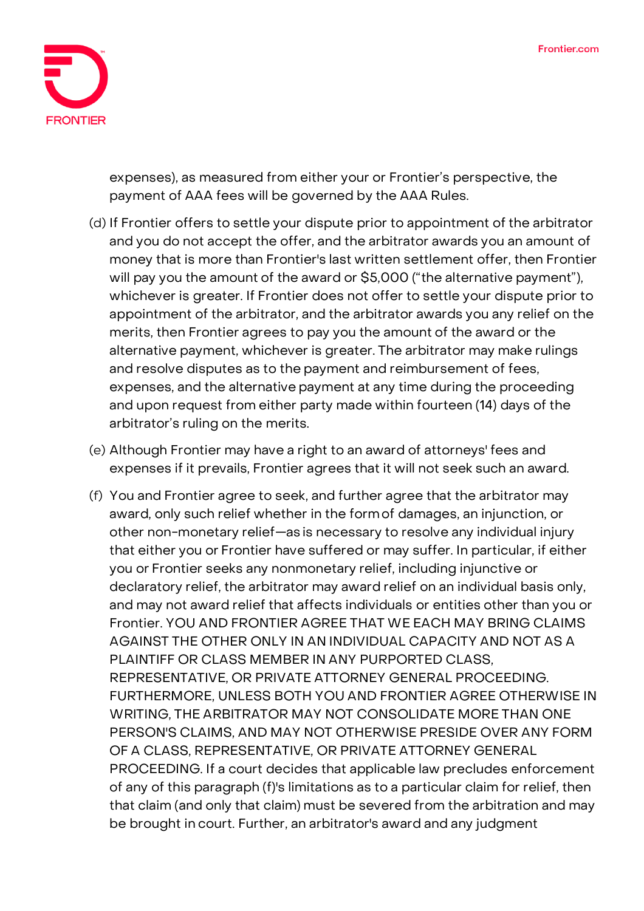

expenses), as measured from either your or Frontier's perspective, the payment of AAA fees will be governed by the AAA Rules.

- (d) If Frontier offers to settle your dispute prior to appointment of the arbitrator and you do not accept the offer, and the arbitrator awards you an amount of money that is more than Frontier's last written settlement offer, then Frontier will pay you the amount of the award or \$5,000 ("the alternative payment"), whichever is greater. If Frontier does not offer to settle your dispute prior to appointment of the arbitrator, and the arbitrator awards you any relief on the merits, then Frontier agrees to pay you the amount of the award or the alternative payment, whichever is greater. The arbitrator may make rulings and resolve disputes as to the payment and reimbursement of fees, expenses, and the alternative payment at any time during the proceeding and upon request from either party made within fourteen (14) days of the arbitrator's ruling on the merits.
- (e) Although Frontier may have a right to an award of attorneys' fees and expenses if it prevails, Frontier agrees that it will not seek such an award.
- (f) You and Frontier agree to seek, and further agree that the arbitrator may award, only such relief whether in the formof damages, an injunction, or other non-monetary relief—as is necessary to resolve any individual injury that either you or Frontier have suffered or may suffer. In particular, if either you or Frontier seeks any nonmonetary relief, including injunctive or declaratory relief, the arbitrator may award relief on an individual basis only, and may not award relief that affects individuals or entities other than you or Frontier. YOU AND FRONTIER AGREE THAT WE EACH MAY BRING CLAIMS AGAINST THE OTHER ONLY IN AN INDIVIDUAL CAPACITY AND NOT AS A PLAINTIFF OR CLASS MEMBER IN ANY PURPORTED CLASS, REPRESENTATIVE, OR PRIVATE ATTORNEY GENERAL PROCEEDING. FURTHERMORE, UNLESS BOTH YOU AND FRONTIER AGREE OTHERWISE IN WRITING, THE ARBITRATOR MAY NOT CONSOLIDATE MORE THAN ONE PERSON'S CLAIMS, AND MAY NOT OTHERWISE PRESIDE OVER ANY FORM OF A CLASS, REPRESENTATIVE, OR PRIVATE ATTORNEY GENERAL PROCEEDING. If a court decides that applicable law precludes enforcement of any of this paragraph (f)'s limitations as to a particular claim for relief, then that claim (and only that claim) must be severed from the arbitration and may be brought in court. Further, an arbitrator's award and any judgment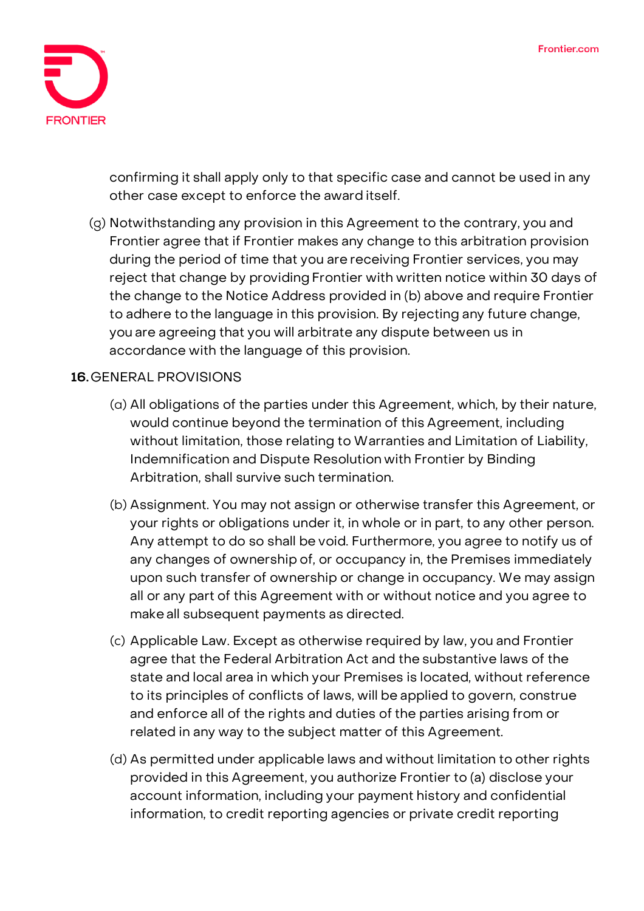

confirming it shall apply only to that specific case and cannot be used in any other case except to enforce the award itself.

(g) Notwithstanding any provision in this Agreement to the contrary, you and Frontier agree that if Frontier makes any change to this arbitration provision during the period of time that you are receiving Frontier services, you may reject that change by providing Frontier with written notice within 30 days of the change to the Notice Address provided in (b) above and require Frontier to adhere tothe language in this provision. By rejecting any future change, you are agreeing that you will arbitrate any dispute between us in accordance with the language of this provision.

### **16.GENERAL PROVISIONS**

- (a) All obligations of the parties under this Agreement, which, by their nature, would continue beyond the termination of this Agreement, including without limitation, those relating to Warranties and Limitation of Liability, Indemnification and Dispute Resolution with Frontier by Binding Arbitration, shall survive such termination.
- (b) Assignment. You may not assign or otherwise transfer this Agreement, or your rights or obligations under it, in whole or in part, to any other person. Any attempt to do so shall be void. Furthermore, you agree to notify us of any changes of ownership of, or occupancy in, the Premises immediately upon such transfer of ownership or change in occupancy. We may assign all or any part of this Agreement with or without notice and you agree to makeall subsequent payments as directed.
- (c) Applicable Law. Except as otherwise required by law, you and Frontier agree that the Federal Arbitration Act and the substantive laws of the state and local area in which your Premises is located, without reference to its principles of conflicts of laws, will be applied to govern, construe and enforce all of the rights and duties of the parties arising from or related in any way to the subject matter of this Agreement.
- (d) As permitted under applicable laws and without limitation to other rights provided in this Agreement, you authorize Frontier to (a) disclose your account information, including your payment history and confidential information, to credit reporting agencies or private credit reporting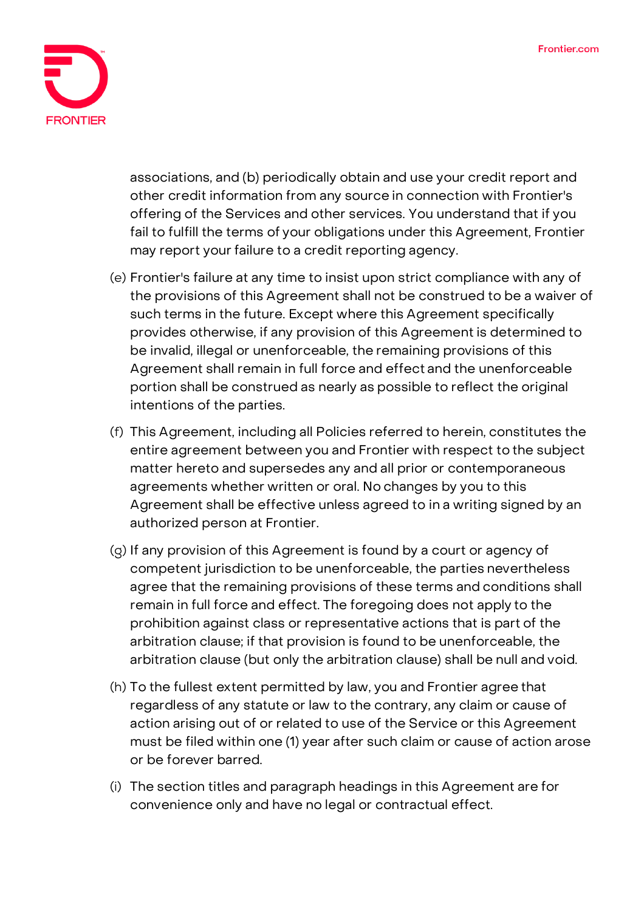

associations, and (b) periodically obtain and use your credit report and other credit information from any source in connection with Frontier's offering of the Services and other services. You understand that if you fail to fulfill the terms of your obligations under this Agreement, Frontier may report your failure to a credit reporting agency.

- (e) Frontier's failure at any time to insist upon strict compliance with any of the provisions of this Agreement shall not be construed to be a waiver of such terms in the future. Except where this Agreement specifically provides otherwise, if any provision of this Agreement is determined to be invalid, illegal or unenforceable, the remaining provisions of this Agreement shall remain in full force and effect and the unenforceable portion shall be construed as nearly as possible to reflect the original intentions of the parties.
- (f) This Agreement, including all Policies referred to herein, constitutes the entire agreement between you and Frontier with respect to the subject matter hereto and supersedes any and all prior or contemporaneous agreements whether written or oral. No changes by you to this Agreement shall be effective unless agreed to in a writing signed by an authorized person at Frontier.
- (g) If any provision of this Agreement is found by a court or agency of competent jurisdiction to be unenforceable, the parties nevertheless agree that the remaining provisions of these terms and conditions shall remain in full force and effect. The foregoing does not apply to the prohibition against class or representative actions that is part of the arbitration clause; if that provision is found to be unenforceable, the arbitration clause (but only the arbitration clause) shall be null and void.
- (h) To the fullest extent permitted by law, you and Frontier agree that regardless of any statute or law to the contrary, any claim or cause of action arising out of or related to use of the Service or this Agreement must be filed within one (1) year after such claim or cause of action arose or be forever barred.
- (i) The section titles and paragraph headings in this Agreement are for convenience only and have no legal or contractual effect.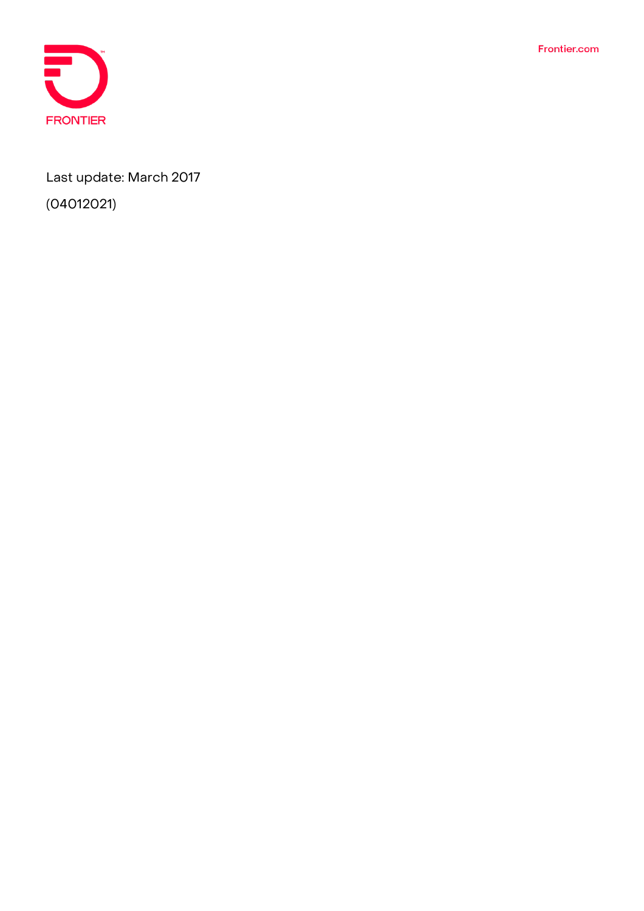Frontier.com



Last update: March 2017

(04012021)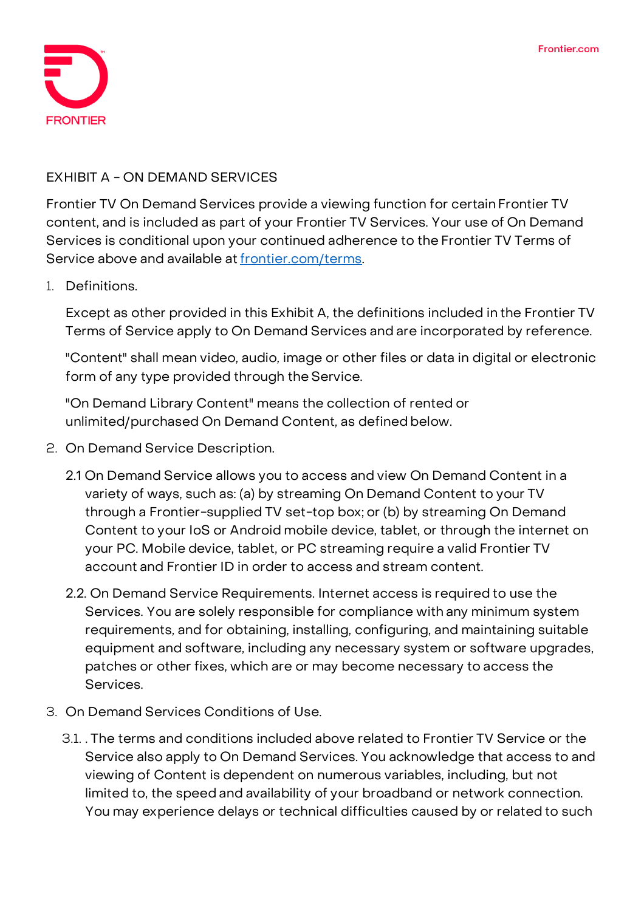

### **EXHIBIT A - ON DEMAND SERVICES**

Frontier TV On Demand Services provide a viewing function for certain Frontier TV content, and is included as part of your Frontier TV Services. Your use of On Demand Services is conditional upon your continued adherence to the Frontier TV Terms of Service above and available at frontier.com/terms.

#### 1. Definitions.

Except as other provided in this Exhibit A, the definitions included in the Frontier TV Terms of Service apply to On Demand Services and are incorporated by reference.

"Content" shall mean video, audio, image or other files or data in digital or electronic form of any type provided through the Service.

"On Demand Library Content" means the collection of rented or unlimited/purchased On Demand Content, as defined below.

- 2. On Demand Service Description.
	- 2.1 On Demand Service allows you to access and view On Demand Content in a variety of ways, such as: (a) by streaming On Demand Content to your TV through a Frontier-supplied TV set-top box; or (b) by streaming On Demand Content to your IoS or Android mobile device, tablet, or through the internet on your PC. Mobile device, tablet, or PC streaming require a valid Frontier TV account and Frontier ID in order to access and stream content.
	- 2.2. On Demand Service Requirements. Internet access is required to use the Services. You are solely responsible for compliance with any minimum system requirements, and for obtaining, installing, configuring, and maintaining suitable equipment and software, including any necessary system or software upgrades, patches or other fixes, which are or may become necessary to access the Services.
- 3. On Demand Services Conditions of Use.
	- 3.1. . The terms and conditions included above related to Frontier TV Service or the Service also apply to On Demand Services. You acknowledge that access to and viewing of Content is dependent on numerous variables, including, but not limited to, the speed and availability of your broadband or network connection. You may experience delays or technical difficulties caused by or related to such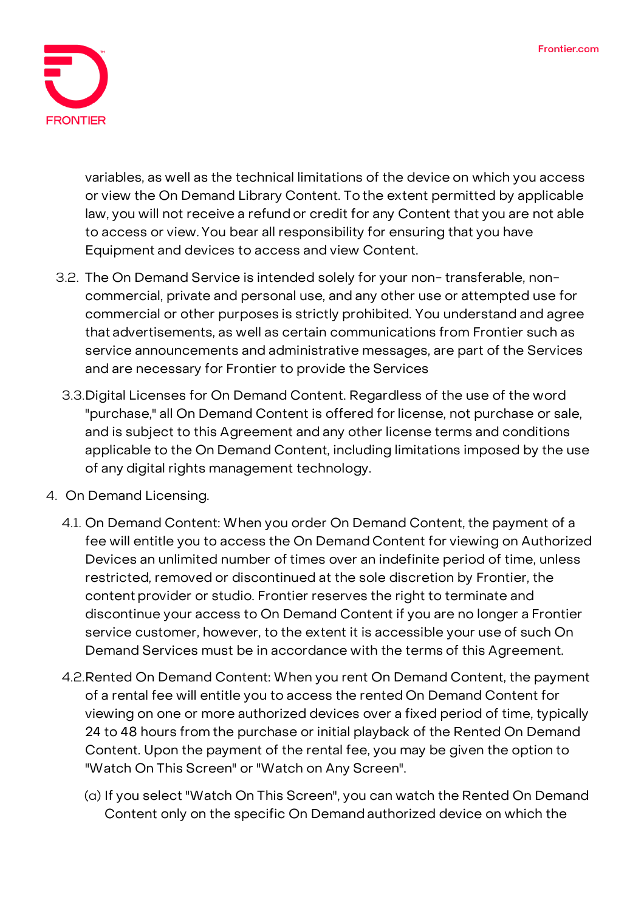

variables, as well as the technical limitations of the device on which you access or view the On Demand Library Content. To the extent permitted by applicable law, you will not receive a refund or credit for any Content that you are not able to access or view. You bear all responsibility for ensuring that you have Equipment and devices to access and view Content.

- 3.2. The On Demand Service is intended solely for your non- transferable, noncommercial, private and personal use, and any other use or attempted use for commercial or other purposes is strictly prohibited. You understand and agree that advertisements, as well as certain communications from Frontier such as service announcements and administrative messages, are part of the Services and are necessary for Frontier to provide the Services
- 3.3.Digital Licenses for On Demand Content. Regardless of the use of the word "purchase," all On Demand Content is offered for license, not purchase or sale, and is subject to this Agreement and any other license terms and conditions applicable to the On Demand Content, including limitations imposed by the use of any digital rights management technology.
- 4. On Demand Licensing.
	- 4.1. On Demand Content: When you order On Demand Content, the payment of a fee will entitle you to access the On Demand Content for viewing on Authorized Devices an unlimited number of times over an indefinite period of time, unless restricted, removed or discontinued at the sole discretion by Frontier, the content provider or studio. Frontier reserves the right to terminate and discontinue your access to On Demand Content if you are no longer a Frontier service customer, however, to the extent it is accessible your use of such On Demand Services must be in accordance with the terms of this Agreement.
	- 4.2.Rented On Demand Content: When you rent On Demand Content, the payment of a rental fee will entitle you to access the rented On Demand Content for viewing on one or more authorized devices over a fixed period of time, typically 24 to 48 hours from the purchase or initial playback of the Rented On Demand Content. Upon the payment of the rental fee, you may be given the option to "Watch On This Screen" or "Watch on Any Screen".
		- (a) If you select "Watch On This Screen", you can watch the Rented On Demand Content only on the specific On Demand authorized device on which the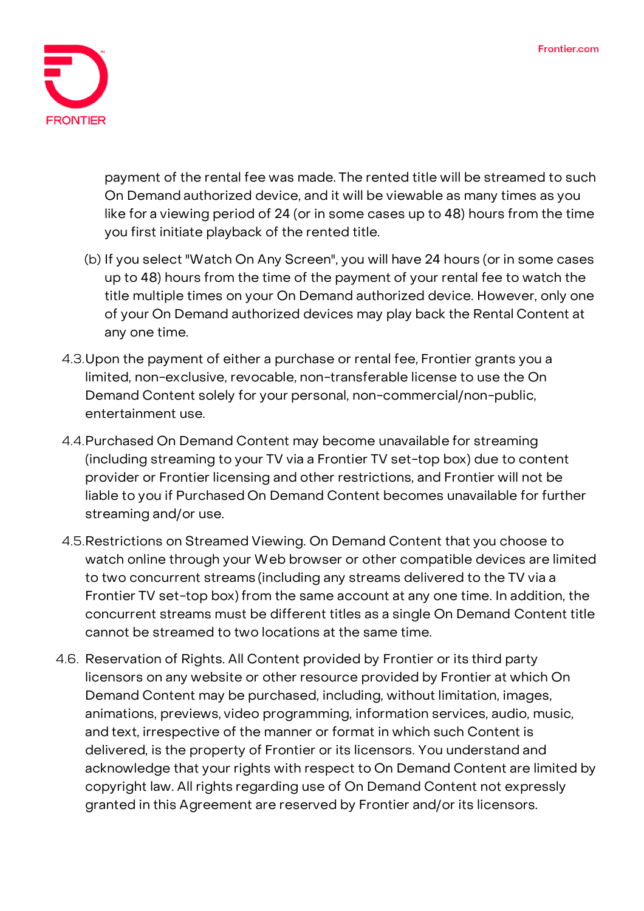

payment of the rental fee was made. The rented title will be streamed to such On Demand authorized device, and it will be viewable as many times as you like for a viewing period of 24 (or in some cases up to 48) hours from the time you first initiate playback of the rented title.

- (b) If you select "Watch On Any Screen", you will have 24 hours (or in some cases up to 48) hours from the time of the payment of your rental fee to watch the title multiple times on your On Demand authorized device. However, only one of your On Demand authorized devices may play back the Rental Content at any one time.
- 4.3.Upon the payment of either a purchase or rental fee, Frontier grants you a limited, non-exclusive, revocable, non-transferable license to use the On Demand Content solely for your personal, non-commercial/non-public, entertainment use.
- 4.4.Purchased On Demand Content may become unavailable for streaming (including streaming to your TV via a Frontier TV set-top box) due to content provider or Frontier licensing and other restrictions, and Frontier will not be liable to you if Purchased On Demand Content becomes unavailable for further streaming and/or use.
- 4.5.Restrictions on Streamed Viewing. On Demand Content that you choose to watch online through your Web browser or other compatible devices are limited to two concurrent streams (including any streams delivered to the TV via a Frontier TV set-top box) from the same account at any one time. In addition, the concurrent streams must be different titles as a single On Demand Content title cannot be streamed to two locations at the same time.
- 4.6. Reservation of Rights. All Content provided by Frontier or its third party licensors on any website or other resource provided by Frontier at which On Demand Content may be purchased, including, without limitation, images, animations, previews, video programming, information services, audio, music, and text, irrespective of the manner or format in which such Content is delivered, is the property of Frontier or its licensors. You understand and acknowledge that your rights with respect to On Demand Content are limited by copyright law. All rights regarding use of On Demand Content not expressly granted in this Agreement are reserved by Frontier and/or its licensors.